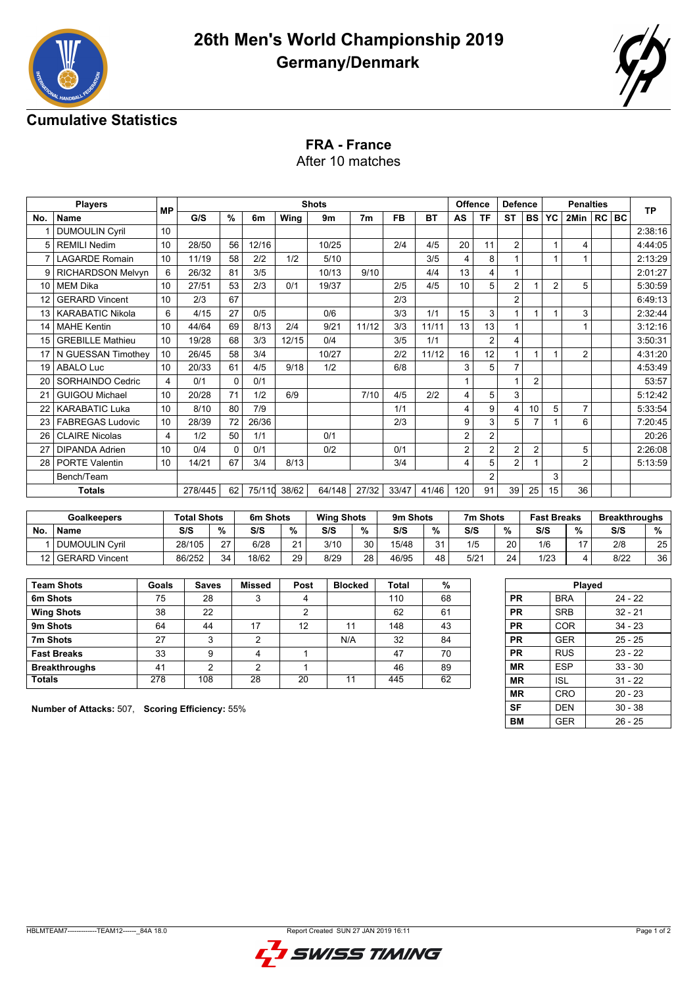



## **Cumulative Statistics**

## **FRA - France**

After 10 matches

|                 | <b>Players</b>           |                         |         | <b>Shots</b> |        |       |        |       |       |       | <b>Offence</b>  |                | <b>Defence</b> |                | <b>Penalties</b> |                |  |         | <b>TP</b> |
|-----------------|--------------------------|-------------------------|---------|--------------|--------|-------|--------|-------|-------|-------|-----------------|----------------|----------------|----------------|------------------|----------------|--|---------|-----------|
| No.             | <b>Name</b>              | <b>MP</b>               | G/S     | $\%$         | 6m     | Wing  | 9m     | 7m    | FB    | BT    | AS              | ΤF             | <b>ST</b>      | <b>BS</b>      | YC               | 2Min           |  | $RC$ BC |           |
|                 | <b>DUMOULIN Cyril</b>    | 10                      |         |              |        |       |        |       |       |       |                 |                |                |                |                  |                |  |         | 2:38:16   |
| 5               | <b>REMILI Nedim</b>      | 10                      | 28/50   | 56           | 12/16  |       | 10/25  |       | 2/4   | 4/5   | 20              | 11             | 2              |                |                  | 4              |  |         | 4:44:05   |
|                 | <b>LAGARDE Romain</b>    | 10                      | 11/19   | 58           | 2/2    | 1/2   | 5/10   |       |       | 3/5   | 4               | 8              |                |                |                  |                |  |         | 2:13:29   |
| 9               | <b>RICHARDSON Melvyn</b> | 6                       | 26/32   | 81           | 3/5    |       | 10/13  | 9/10  |       | 4/4   | 13              | 4              | 1              |                |                  |                |  |         | 2:01:27   |
| 10 <sup>1</sup> | <b>MEM Dika</b>          | 10                      | 27/51   | 53           | 2/3    | 0/1   | 19/37  |       | 2/5   | 4/5   | 10 <sup>1</sup> | 5              | 2              |                | $\overline{2}$   | 5              |  |         | 5:30:59   |
| 12              | <b>GERARD Vincent</b>    | 10                      | 2/3     | 67           |        |       |        |       | 2/3   |       |                 |                | 2              |                |                  |                |  |         | 6:49:13   |
| 13 I            | KARABATIC Nikola         | 6                       | 4/15    | 27           | 0/5    |       | 0/6    |       | 3/3   | 1/1   | 15              | 3              |                |                |                  | 3              |  |         | 2:32:44   |
| 14              | <b>MAHE Kentin</b>       | 10                      | 44/64   | 69           | 8/13   | 2/4   | 9/21   | 11/12 | 3/3   | 11/11 | 13              | 13             |                |                |                  |                |  |         | 3:12:16   |
| 15              | <b>GREBILLE Mathieu</b>  | 10                      | 19/28   | 68           | 3/3    | 12/15 | 0/4    |       | 3/5   | 1/1   |                 | $\overline{2}$ | 4              |                |                  |                |  |         | 3:50:31   |
|                 | 17   N GUESSAN Timothey  | 10                      | 26/45   | 58           | 3/4    |       | 10/27  |       | 2/2   | 11/12 | 16              | 12             |                |                |                  | $\overline{2}$ |  |         | 4:31:20   |
| 19              | <b>ABALO Luc</b>         | 10                      | 20/33   | 61           | 4/5    | 9/18  | 1/2    |       | 6/8   |       | 3               | 5              | 7              |                |                  |                |  |         | 4:53:49   |
| 20              | SORHAINDO Cedric         | $\overline{\mathbf{4}}$ | 0/1     | $\Omega$     | 0/1    |       |        |       |       |       | 1               |                |                | 2              |                  |                |  |         | 53:57     |
| 21              | <b>GUIGOU Michael</b>    | 10                      | 20/28   | 71           | 1/2    | 6/9   |        | 7/10  | 4/5   | 2/2   | 4               | 5              | 3              |                |                  |                |  |         | 5:12:42   |
| 22              | <b>KARABATIC Luka</b>    | 10                      | 8/10    | 80           | 7/9    |       |        |       | 1/1   |       | 4               | 9              | 4              | 10             | 5                | $\overline{7}$ |  |         | 5:33:54   |
|                 | <b>FABREGAS Ludovic</b>  | 10                      | 28/39   | 72           | 26/36  |       |        |       | 2/3   |       | 9               | 3              | 5              | $\overline{7}$ |                  | 6              |  |         | 7:20:45   |
| 26              | <b>CLAIRE Nicolas</b>    | 4                       | 1/2     | 50           | 1/1    |       | 0/1    |       |       |       | $\overline{2}$  | $\overline{2}$ |                |                |                  |                |  |         | 20:26     |
| 27              | <b>DIPANDA Adrien</b>    | 10                      | 0/4     | 0            | 0/1    |       | 0/2    |       | 0/1   |       | $\overline{2}$  | $\overline{2}$ | 2              | $\overline{2}$ |                  | 5              |  |         | 2:26:08   |
| 28              | <b>PORTE Valentin</b>    | 10                      | 14/21   | 67           | 3/4    | 8/13  |        |       | 3/4   |       | 4               | 5              | $\overline{2}$ |                |                  | $\overline{2}$ |  |         | 5:13:59   |
|                 | Bench/Team               |                         |         |              |        |       |        |       |       |       |                 | $\overline{2}$ |                |                | 3                |                |  |         |           |
|                 | <b>Totals</b>            |                         | 278/445 | 62           | 75/110 | 38/62 | 64/148 | 27/32 | 33/47 | 41/46 | 120             | 91             | 39             | 25             | 15               | 36             |  |         |           |

| <b>Goalkeepers</b> |                       | <b>Total Shots</b> |    | 6m Shots |          | <b>Wing Shots</b><br>9 <sub>m</sub> Shots |    |       | 7m Shots   | <b>Fast Breaks</b> |    | <b>Breakthroughs</b> |               |      |    |
|--------------------|-----------------------|--------------------|----|----------|----------|-------------------------------------------|----|-------|------------|--------------------|----|----------------------|---------------|------|----|
| Νo                 | <b>Name</b>           | S/S                | %  | S/S      | %        | S/S                                       | %  | S/S   | %          | S/S                | 0/ | S/S                  | $\frac{0}{0}$ | S/S  | %  |
|                    | <b>DUMOULIN Cyril</b> | 28/105             | 27 | 6/28     | $\Omega$ | 3/10                                      | 30 | 15/48 | $^{\circ}$ | 1/5                | 20 | 1/6                  | 17            | 2/8  | 25 |
| 12                 | <b>GERARD Vincent</b> | 86/252             | 34 | 18/62    | 29       | 8/29                                      | 28 | 46/95 | 48         | 5/21               | 24 | 1/23                 |               | 8/22 | 36 |

| <b>Team Shots</b>    | Goals | <b>Saves</b> | <b>Missed</b> | Post | <b>Blocked</b> | <b>Total</b> | %  |
|----------------------|-------|--------------|---------------|------|----------------|--------------|----|
| 6m Shots             | 75    | 28           | 3             | 4    |                | 110          | 68 |
| <b>Wing Shots</b>    | 38    | 22           |               | 2    |                | 62           | 61 |
| 9m Shots             | 64    | 44           | 17            | 12   | 11             | 148          | 43 |
| 7m Shots             | 27    | 3            | າ             |      | N/A            | 32           | 84 |
| <b>Fast Breaks</b>   | 33    | 9            |               |      |                | 47           | 70 |
| <b>Breakthroughs</b> | 41    | າ            | າ             |      |                | 46           | 89 |
| <b>Totals</b>        | 278   | 108          | 28            | 20   | 11             | 445          | 62 |

|           |            | <b>Played</b> |
|-----------|------------|---------------|
| <b>PR</b> | <b>BRA</b> | $24 - 22$     |
| РR        | <b>SRB</b> | $32 - 21$     |
| РR        | <b>COR</b> | $34 - 23$     |
| <b>PR</b> | GER        | $25 - 25$     |
| PR        | <b>RUS</b> | $23 - 22$     |
| ΜR        | <b>FSP</b> | $33 - 30$     |
| ΜR        | <b>ISL</b> | $31 - 22$     |
| ΜR        | CRO        | $20 - 23$     |
| SF        | DEN        | $30 - 38$     |
| ВM        | GER        | 26 - 25       |

**Number of Attacks:** 507, **Scoring Efficiency:** 55%